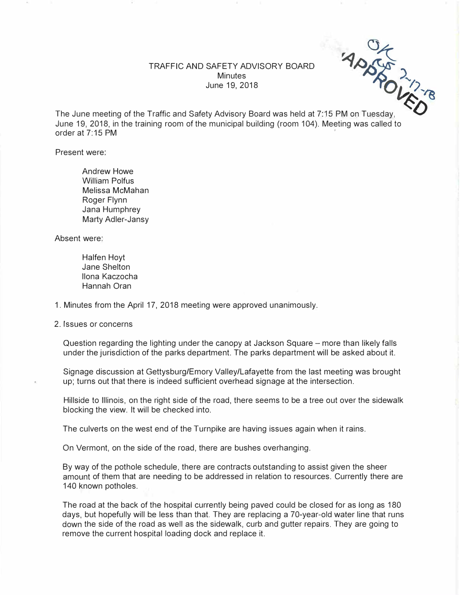

The June meeting of the Traffic and Safety Advisory Board was held at 7:15 PM on Tuesday, June 19, 2018, in the training room of the municipal building (room 104). Meeting was called to order at 7:15 PM

Present were:

Andrew Howe William Polfus Melissa McMahan Roger Flynn Jana Humphrey Marty Adler-Jansy

Absent were:

Halfen Hoyt Jane Shelton Ilona Kaczocha Hannah Oran

1. Minutes from the April 17, 2018 meeting were approved unanimously.

2. Issues or concerns

Question regarding the lighting under the canopy at Jackson Square – more than likely falls under the jurisdiction of the parks department. The parks department will be asked about it.

Signage discussion at Gettysburg/Emory Valley/Lafayette from the last meeting was brought up; turns out that there is indeed sufficient overhead signage at the intersection.

Hillside to Illinois, on the right side of the road, there seems to be a tree out over the sidewalk blocking the view. It will be checked into.

The culverts on the west end of the Turnpike are having issues again when it rains.

On Vermont, on the side of the road, there are bushes overhanging.

By way of the pothole schedule, there are contracts outstanding to assist given the sheer amount of them that are needing to be addressed in relation to resources. Currently there are 140 known potholes.

The road at the back of the hospital currently being paved could be closed for as long as 180 days, but hopefully will be less than that. They are replacing a 70-year-old water line that runs down the side of the road as well as the sidewalk, curb and gutter repairs. They are going to remove the current hospital loading dock and replace it.